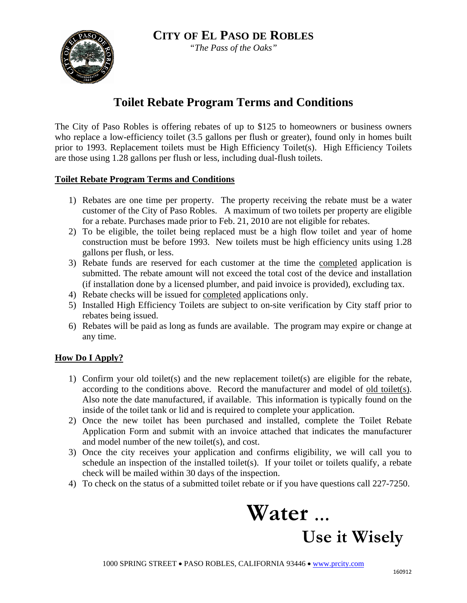

*"The Pass of the Oaks"*

# **Toilet Rebate Program Terms and Conditions**

The City of Paso Robles is offering rebates of up to \$125 to homeowners or business owners who replace a low-efficiency toilet (3.5 gallons per flush or greater), found only in homes built prior to 1993. Replacement toilets must be High Efficiency Toilet(s). High Efficiency Toilets are those using 1.28 gallons per flush or less, including dual-flush toilets.

### **Toilet Rebate Program Terms and Conditions**

- 1) Rebates are one time per property. The property receiving the rebate must be a water customer of the City of Paso Robles. A maximum of two toilets per property are eligible for a rebate. Purchases made prior to Feb. 21, 2010 are not eligible for rebates.
- 2) To be eligible, the toilet being replaced must be a high flow toilet and year of home construction must be before 1993. New toilets must be high efficiency units using 1.28 gallons per flush, or less.
- 3) Rebate funds are reserved for each customer at the time the completed application is submitted. The rebate amount will not exceed the total cost of the device and installation (if installation done by a licensed plumber, and paid invoice is provided), excluding tax.
- 4) Rebate checks will be issued for completed applications only.
- 5) Installed High Efficiency Toilets are subject to on-site verification by City staff prior to rebates being issued.
- 6) Rebates will be paid as long as funds are available. The program may expire or change at any time.

## **How Do I Apply?**

- 1) Confirm your old toilet(s) and the new replacement toilet(s) are eligible for the rebate, according to the conditions above. Record the manufacturer and model of old toilet(s). Also note the date manufactured, if available. This information is typically found on the inside of the toilet tank or lid and is required to complete your application.
- 2) Once the new toilet has been purchased and installed, complete the Toilet Rebate Application Form and submit with an invoice attached that indicates the manufacturer and model number of the new toilet(s), and cost.
- 3) Once the city receives your application and confirms eligibility, we will call you to schedule an inspection of the installed toilet(s). If your toilet or toilets qualify, a rebate check will be mailed within 30 days of the inspection.
- 4) To check on the status of a submitted toilet rebate or if you have questions call 227-7250.